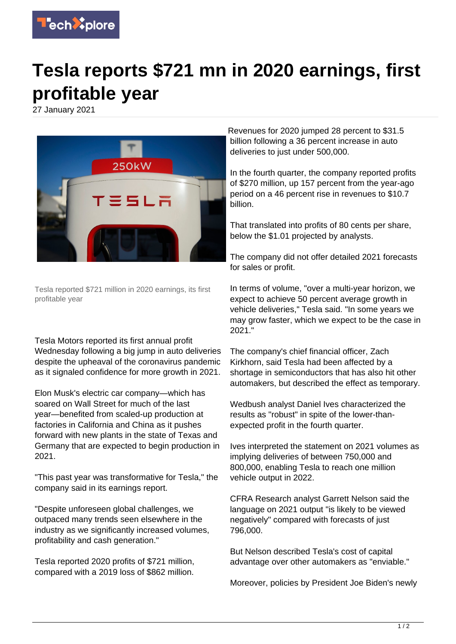

## **Tesla reports \$721 mn in 2020 earnings, first profitable year**

27 January 2021



Tesla reported \$721 million in 2020 earnings, its first profitable year

Tesla Motors reported its first annual profit Wednesday following a big jump in auto deliveries despite the upheaval of the coronavirus pandemic as it signaled confidence for more growth in 2021.

Elon Musk's electric car company—which has soared on Wall Street for much of the last year—benefited from scaled-up production at factories in California and China as it pushes forward with new plants in the state of Texas and Germany that are expected to begin production in 2021.

"This past year was transformative for Tesla," the company said in its earnings report.

"Despite unforeseen global challenges, we outpaced many trends seen elsewhere in the industry as we significantly increased volumes, profitability and cash generation."

Tesla reported 2020 profits of \$721 million, compared with a 2019 loss of \$862 million.

Revenues for 2020 jumped 28 percent to \$31.5 billion following a 36 percent increase in auto deliveries to just under 500,000.

In the fourth quarter, the company reported profits of \$270 million, up 157 percent from the year-ago period on a 46 percent rise in revenues to \$10.7 billion.

That translated into profits of 80 cents per share, below the \$1.01 projected by analysts.

The company did not offer detailed 2021 forecasts for sales or profit.

In terms of volume, "over a multi-year horizon, we expect to achieve 50 percent average growth in vehicle deliveries," Tesla said. "In some years we may grow faster, which we expect to be the case in 2021."

The company's chief financial officer, Zach Kirkhorn, said Tesla had been affected by a shortage in semiconductors that has also hit other automakers, but described the effect as temporary.

Wedbush analyst Daniel Ives characterized the results as "robust" in spite of the lower-thanexpected profit in the fourth quarter.

Ives interpreted the statement on 2021 volumes as implying deliveries of between 750,000 and 800,000, enabling Tesla to reach one million vehicle output in 2022.

CFRA Research analyst Garrett Nelson said the language on 2021 output "is likely to be viewed negatively" compared with forecasts of just 796,000.

But Nelson described Tesla's cost of capital advantage over other automakers as "enviable."

Moreover, policies by President Joe Biden's newly